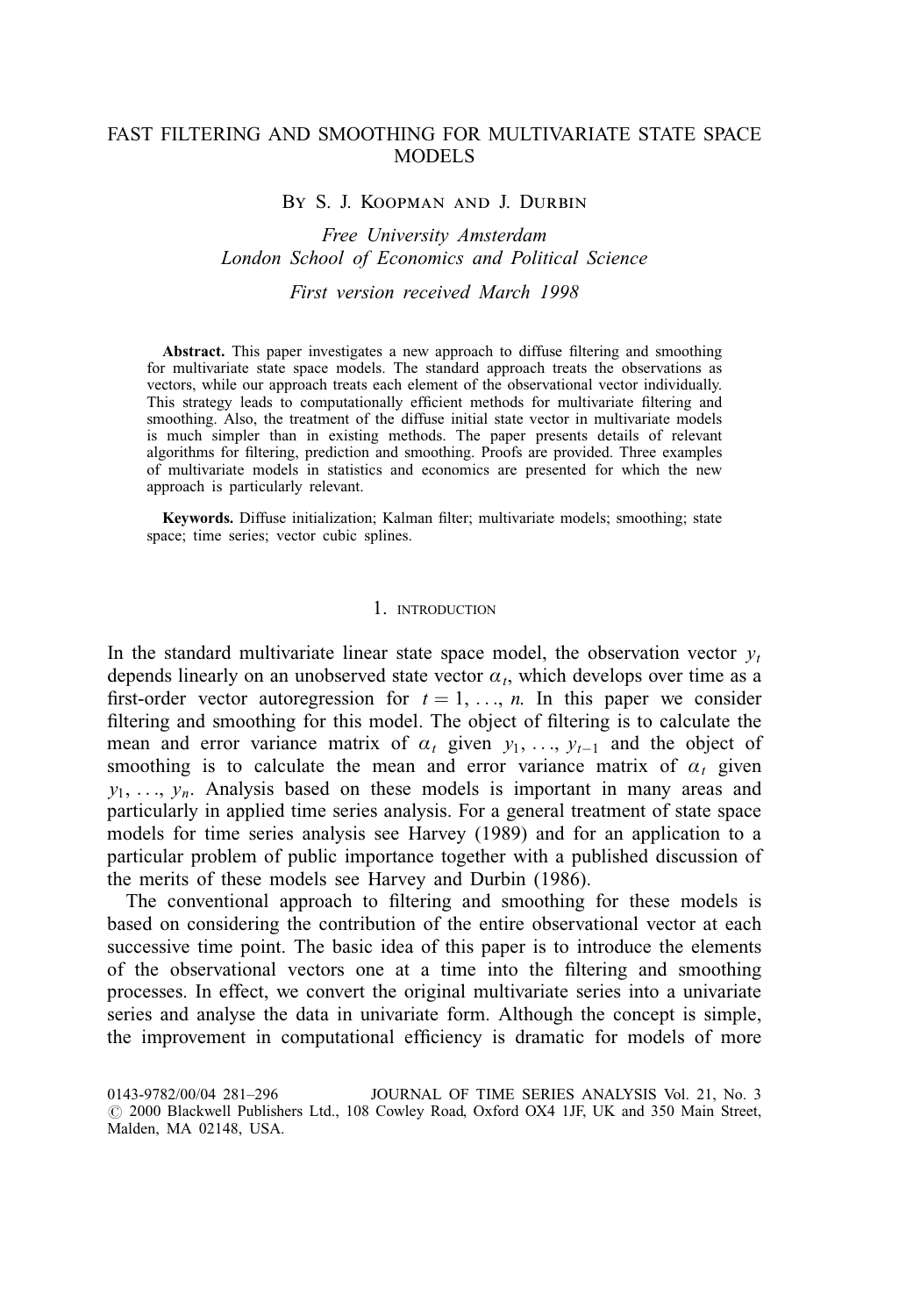# FAST FILTERING AND SMOOTHING FOR MULTIVARIATE STATE SPACE MODELS

### By S. J. Koopman and J. Durbin

## Free University Amsterdam London School of Economics and Political Science

## First version received March 1998

Abstract. This paper investigates a new approach to diffuse filtering and smoothing for multivariate state space models. The standard approach treats the observations as vectors, while our approach treats each element of the observational vector individually. This strategy leads to computationally efficient methods for multivariate filtering and smoothing. Also, the treatment of the diffuse initial state vector in multivariate models is much simpler than in existing methods. The paper presents details of relevant algorithms for filtering, prediction and smoothing. Proofs are provided. Three examples of multivariate models in statistics and economics are presented for which the new approach is particularly relevant.

Keywords. Diffuse initialization; Kalman filter; multivariate models; smoothing; state space; time series; vector cubic splines.

#### 1. INTRODUCTION

In the standard multivariate linear state space model, the observation vector  $v_t$ depends linearly on an unobserved state vector  $\alpha_t$ , which develops over time as a first-order vector autoregression for  $t = 1, \ldots, n$ . In this paper we consider filtering and smoothing for this model. The object of filtering is to calculate the mean and error variance matrix of  $\alpha_t$  given  $y_1, \ldots, y_{t-1}$  and the object of smoothing is to calculate the mean and error variance matrix of  $\alpha_t$  given  $y_1, \ldots, y_n$ . Analysis based on these models is important in many areas and particularly in applied time series analysis. For a general treatment of state space models for time series analysis see Harvey (1989) and for an application to a particular problem of public importance together with a published discussion of the merits of these models see Harvey and Durbin (1986).

The conventional approach to filtering and smoothing for these models is based on considering the contribution of the entire observational vector at each successive time point. The basic idea of this paper is to introduce the elements of the observational vectors one at a time into the filtering and smoothing processes. In effect, we convert the original multivariate series into a univariate series and analyse the data in univariate form. Although the concept is simple, the improvement in computational efficiency is dramatic for models of more

<sup>0143-9782/00/04 281-296</sup> JOURNAL OF TIME SERIES ANALYSIS Vol. 21, No. 3  $\odot$  2000 Blackwell Publishers Ltd., 108 Cowley Road, Oxford OX4 1JF, UK and 350 Main Street, Malden, MA 02148, USA.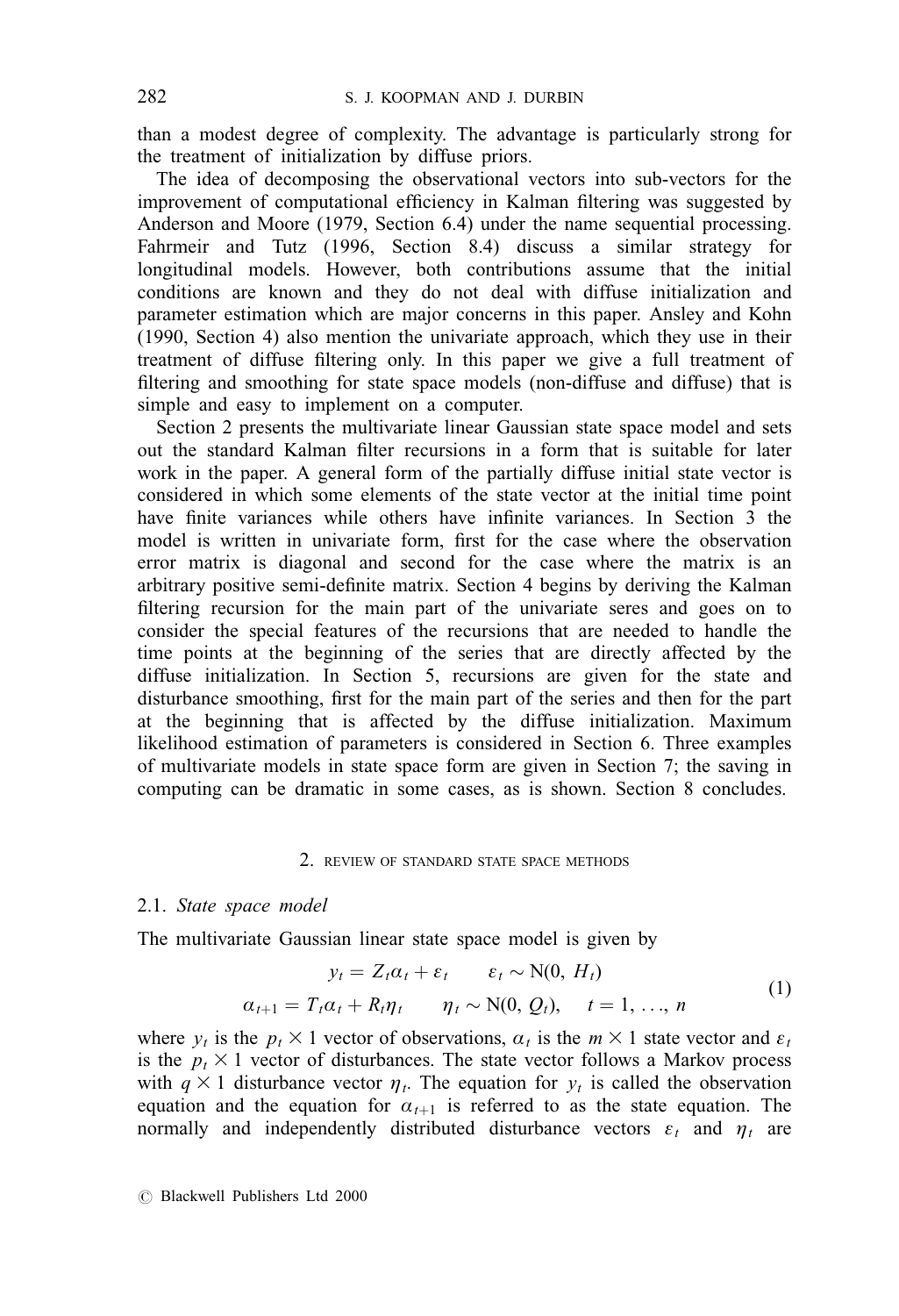than a modest degree of complexity. The advantage is particularly strong for the treatment of initialization by diffuse priors.

The idea of decomposing the observational vectors into sub-vectors for the improvement of computational efficiency in Kalman filtering was suggested by Anderson and Moore (1979, Section 6.4) under the name sequential processing. Fahrmeir and Tutz (1996, Section 8.4) discuss a similar strategy for longitudinal models. However, both contributions assume that the initial conditions are known and they do not deal with diffuse initialization and parameter estimation which are major concerns in this paper. Ansley and Kohn (1990, Section 4) also mention the univariate approach, which they use in their treatment of diffuse filtering only. In this paper we give a full treatment of filtering and smoothing for state space models (non-diffuse and diffuse) that is simple and easy to implement on a computer.

Section 2 presents the multivariate linear Gaussian state space model and sets out the standard Kalman filter recursions in a form that is suitable for later work in the paper. A general form of the partially diffuse initial state vector is considered in which some elements of the state vector at the initial time point have finite variances while others have infinite variances. In Section 3 the model is written in univariate form, first for the case where the observation error matrix is diagonal and second for the case where the matrix is an arbitrary positive semi-definite matrix. Section 4 begins by deriving the Kalman filtering recursion for the main part of the univariate seres and goes on to consider the special features of the recursions that are needed to handle the time points at the beginning of the series that are directly affected by the diffuse initialization. In Section 5, recursions are given for the state and disturbance smoothing, first for the main part of the series and then for the part at the beginning that is affected by the diffuse initialization. Maximum likelihood estimation of parameters is considered in Section 6. Three examples of multivariate models in state space form are given in Section 7; the saving in computing can be dramatic in some cases, as is shown. Section 8 concludes.

## 2. REVIEW OF STANDARD STATE SPACE METHODS

### 2.1. State space model

The multivariate Gaussian linear state space model is given by

$$
y_t = Z_t \alpha_t + \varepsilon_t \qquad \varepsilon_t \sim \text{N}(0, H_t)
$$
  
\n
$$
\alpha_{t+1} = T_t \alpha_t + R_t \eta_t \qquad \eta_t \sim \text{N}(0, Q_t), \quad t = 1, ..., n
$$
 (1)

where  $y_t$  is the  $p_t \times 1$  vector of observations,  $a_t$  is the  $m \times 1$  state vector and  $\varepsilon_t$ is the  $p_t \times 1$  vector of disturbances. The state vector follows a Markov process with  $q \times 1$  disturbance vector  $\eta_t$ . The equation for  $y_t$  is called the observation equation and the equation for  $a_{t+1}$  is referred to as the state equation. The normally and independently distributed disturbance vectors  $\varepsilon_t$  and  $\eta_t$  are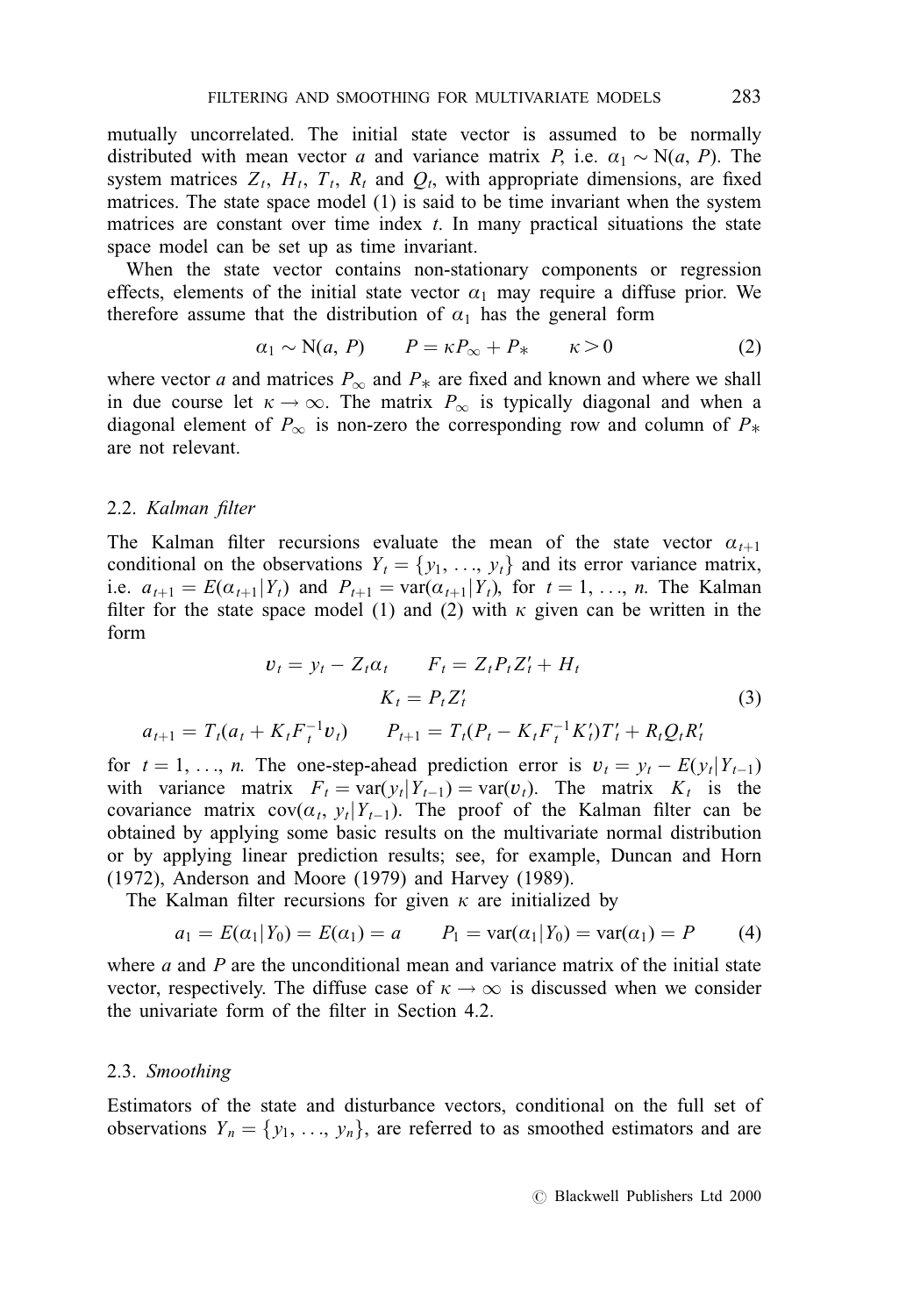mutually uncorrelated. The initial state vector is assumed to be normally distributed with mean vector a and variance matrix P, i.e.  $\alpha_1 \sim N(a, P)$ . The system matrices  $Z_t$ ,  $H_t$ ,  $T_t$ ,  $R_t$  and  $Q_t$ , with appropriate dimensions, are fixed matrices. The state space model (1) is said to be time invariant when the system matrices are constant over time index  $t$ . In many practical situations the state space model can be set up as time invariant.

When the state vector contains non-stationary components or regression effects, elements of the initial state vector  $a_1$  may require a diffuse prior. We therefore assume that the distribution of  $\alpha_1$  has the general form

$$
a_1 \sim N(a, P) \qquad P = \kappa P_{\infty} + P_{*} \qquad \kappa > 0 \tag{2}
$$

where vector a and matrices  $P_{\infty}$  and  $P_{*}$  are fixed and known and where we shall in due course let  $\kappa \to \infty$ . The matrix  $P_{\infty}$  is typically diagonal and when a diagonal element of  $P_{\infty}$  is non-zero the corresponding row and column of  $P_{*}$  are not relevant.

## 2.2. Kalman filter

The Kalman filter recursions evaluate the mean of the state vector  $a_{t+1}$ conditional on the observations  $Y_t = \{y_1, \ldots, y_t\}$  and its error variance matrix, i.e.  $a_{t+1} = E(a_{t+1}|Y_t)$  and  $P_{t+1} = \text{var}(a_{t+1}|Y_t)$ , for  $t = 1, ..., n$ . The Kalman filter for the state space model (1) and (2) with  $\kappa$  given can be written in the form

$$
v_{t} = y_{t} - Z_{t}\alpha_{t} \qquad F_{t} = Z_{t}P_{t}Z_{t}' + H_{t}
$$
\n
$$
K_{t} = P_{t}Z_{t}' \qquad (3)
$$
\n
$$
a_{t+1} = T_{t}(a_{t} + K_{t}F_{t}^{-1}v_{t}) \qquad P_{t+1} = T_{t}(P_{t} - K_{t}F_{t}^{-1}K_{t}')T_{t}' + R_{t}Q_{t}R_{t}'
$$

for  $t = 1, \ldots, n$ . The one-step-ahead prediction error is  $v_t = v_t - E(y_t|Y_{t-1})$ with variance matrix  $F_t = \text{var}(y_t | Y_{t-1}) = \text{var}(v_t)$ . The matrix  $K_t$  is the covariance matrix  $cov(\alpha_t, y_t|Y_{t-1})$ . The proof of the Kalman filter can be obtained by applying some basic results on the multivariate normal distribution or by applying linear prediction results; see, for example, Duncan and Horn (1972), Anderson and Moore (1979) and Harvey (1989).

The Kalman filter recursions for given  $\kappa$  are initialized by

$$
a_1 = E(\alpha_1 | Y_0) = E(\alpha_1) = a
$$
  $P_1 = \text{var}(\alpha_1 | Y_0) = \text{var}(\alpha_1) = P$  (4)

where  $a$  and  $P$  are the unconditional mean and variance matrix of the initial state vector, respectively. The diffuse case of  $\kappa \to \infty$  is discussed when we consider the univariate form of the filter in Section 4.2.

## 2.3. Smoothing

Estimators of the state and disturbance vectors, conditional on the full set of observations  $Y_n = \{y_1, \ldots, y_n\}$ , are referred to as smoothed estimators and are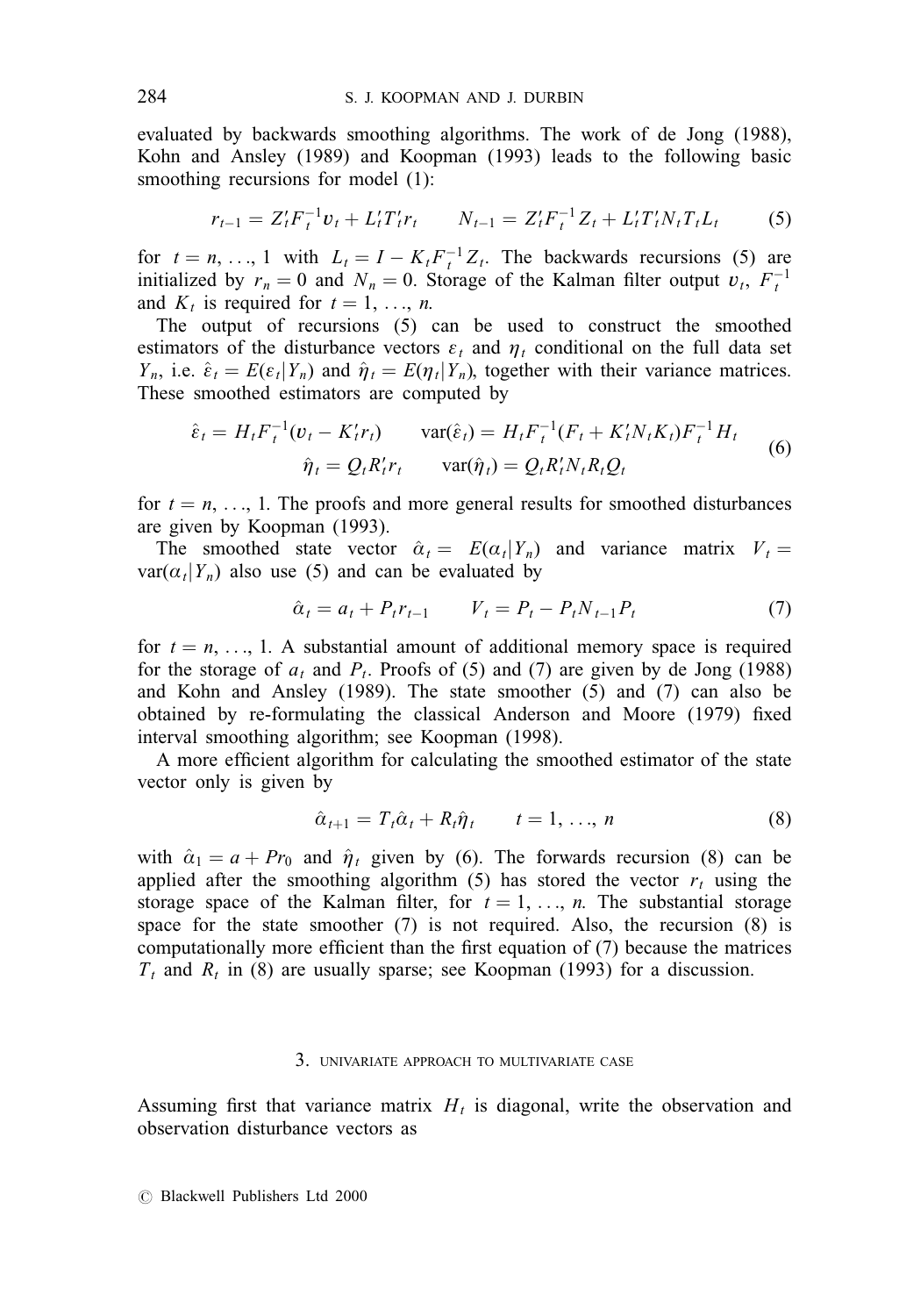evaluated by backwards smoothing algorithms. The work of de Jong (1988), Kohn and Ansley (1989) and Koopman (1993) leads to the following basic smoothing recursions for model (1):

$$
r_{t-1} = Z_t' F_t^{-1} v_t + L_t' T_t' r_t \qquad N_{t-1} = Z_t' F_t^{-1} Z_t + L_t' T_t' N_t T_t L_t \tag{5}
$$

for  $t = n, \ldots, 1$  with  $L_t = I - K_t F_t^{-1} Z_t$ . The backwards recursions (5) are initialized by  $r_n = 0$  and  $N_n = 0$ . Storage of the Kalman filter output  $v_t$ ,  $F_t^{-1}$ and  $K_t$  is required for  $t = 1, \ldots, n$ .

The output of recursions (5) can be used to construct the smoothed estimators of the disturbance vectors  $\varepsilon_t$  and  $\eta_t$  conditional on the full data set  $Y_n$ , i.e.  $\hat{\varepsilon}_t = E(\varepsilon_t|Y_n)$  and  $\hat{\eta}_t = E(\eta_t|Y_n)$ , together with their variance matrices. These smoothed estimators are computed by

$$
\hat{\varepsilon}_t = H_t F_t^{-1} (v_t - K_t' r_t) \qquad \text{var}(\hat{\varepsilon}_t) = H_t F_t^{-1} (F_t + K_t' N_t K_t) F_t^{-1} H_t
$$
  

$$
\hat{\eta}_t = Q_t R_t' r_t \qquad \text{var}(\hat{\eta}_t) = Q_t R_t' N_t R_t Q_t
$$
 (6)

for  $t = n, \ldots, 1$ . The proofs and more general results for smoothed disturbances are given by Koopman (1993).

The smoothed state vector  $\hat{\alpha}_t = E(\alpha_t|Y_n)$  and variance matrix  $V_t =$  $var(\alpha_t|Y_n)$  also use (5) and can be evaluated by

$$
\hat{a}_t = a_t + P_t r_{t-1} \qquad V_t = P_t - P_t N_{t-1} P_t \tag{7}
$$

for  $t = n, \ldots, 1$ . A substantial amount of additional memory space is required for the storage of  $a_t$  and  $P_t$ . Proofs of (5) and (7) are given by de Jong (1988) and Kohn and Ansley (1989). The state smoother (5) and (7) can also be obtained by re-formulating the classical Anderson and Moore  $(1979)$  fixed interval smoothing algorithm; see Koopman (1998).

A more efficient algorithm for calculating the smoothed estimator of the state vector only is given by

$$
\hat{\alpha}_{t+1} = T_t \hat{\alpha}_t + R_t \hat{\eta}_t \qquad t = 1, \dots, n \tag{8}
$$

with  $\hat{\alpha}_1 = a + Pr_0$  and  $\hat{\eta}_t$  given by (6). The forwards recursion (8) can be applied after the smoothing algorithm (5) has stored the vector  $r_t$  using the storage space of the Kalman filter, for  $t = 1, \ldots, n$ . The substantial storage space for the state smoother (7) is not required. Also, the recursion (8) is computationally more efficient than the first equation of  $(7)$  because the matrices  $T<sub>t</sub>$  and  $R<sub>t</sub>$  in (8) are usually sparse; see Koopman (1993) for a discussion.

### 3. UNIVARIATE APPROACH TO MULTIVARIATE CASE

Assuming first that variance matrix  $H_t$  is diagonal, write the observation and observation disturbance vectors as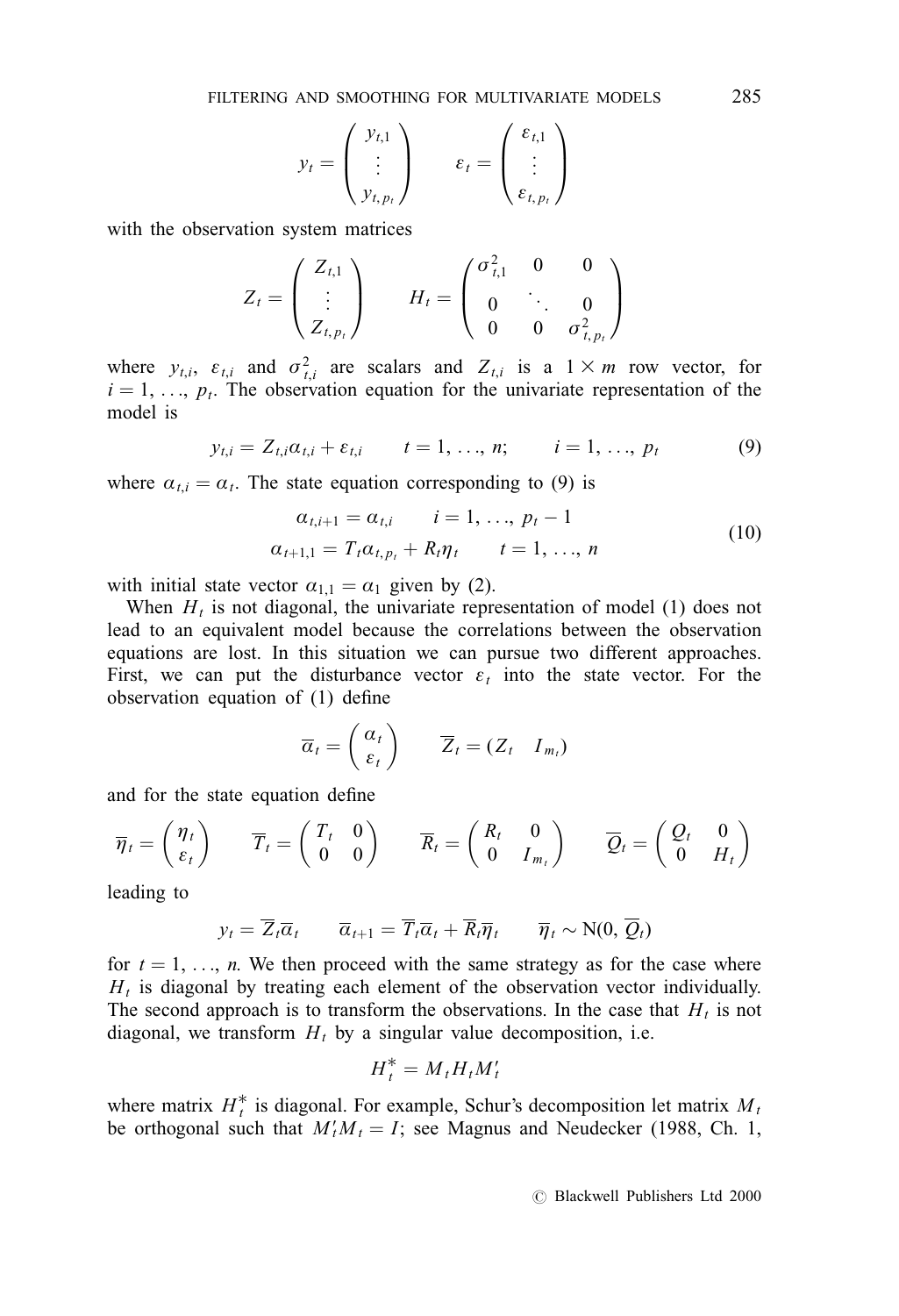$$
y_t = \begin{pmatrix} y_{t,1} \\ \vdots \\ y_{t,p_t} \end{pmatrix} \qquad \varepsilon_t = \begin{pmatrix} \varepsilon_{t,1} \\ \vdots \\ \varepsilon_{t,p_t} \end{pmatrix}
$$

with the observation system matrices

$$
Z_{t} = \begin{pmatrix} Z_{t,1} \\ \vdots \\ Z_{t,p_{t}} \end{pmatrix} \qquad H_{t} = \begin{pmatrix} \sigma_{t,1}^{2} & 0 & 0 \\ 0 & \ddots & 0 \\ 0 & 0 & \sigma_{t,p_{t}}^{2} \end{pmatrix}
$$

where  $y_{t,i}$ ,  $\varepsilon_{t,i}$  and  $\sigma_{t,i}^2$  are scalars and  $Z_{t,i}$  is a  $1 \times m$  row vector, for  $i = 1, \ldots, p_t$ . The observation equation for the univariate representation of the model is

$$
y_{t,i} = Z_{t,i}a_{t,i} + \varepsilon_{t,i} \qquad t = 1, ..., n; \qquad i = 1, ..., p_t
$$
 (9)

where  $a_{t,i} = a_t$ . The state equation corresponding to (9) is

$$
\alpha_{t,i+1} = \alpha_{t,i} \qquad i = 1, \ldots, p_t - 1
$$
  
\n
$$
\alpha_{t+1,1} = T_t \alpha_{t,p_t} + R_t \eta_t \qquad t = 1, \ldots, n
$$
\n(10)

with initial state vector  $\alpha_{1,1} = \alpha_1$  given by (2).

When  $H_t$  is not diagonal, the univariate representation of model (1) does not lead to an equivalent model because the correlations between the observation equations are lost. In this situation we can pursue two different approaches. First, we can put the disturbance vector  $\varepsilon_t$  into the state vector. For the observation equation of  $(1)$  define

$$
\overline{\alpha}_t = \begin{pmatrix} \alpha_t \\ \varepsilon_t \end{pmatrix} \qquad \overline{Z}_t = (Z_t \quad I_{m_t})
$$

and for the state equation define

$$
\overline{\eta}_t = \begin{pmatrix} \eta_t \\ \varepsilon_t \end{pmatrix} \qquad \overline{T}_t = \begin{pmatrix} T_t & 0 \\ 0 & 0 \end{pmatrix} \qquad \overline{R}_t = \begin{pmatrix} R_t & 0 \\ 0 & I_{m_t} \end{pmatrix} \qquad \overline{Q}_t = \begin{pmatrix} Q_t & 0 \\ 0 & H_t \end{pmatrix}
$$

leading to

$$
y_t = \overline{Z}_t \overline{\alpha}_t \qquad \overline{\alpha}_{t+1} = \overline{T}_t \overline{\alpha}_t + \overline{R}_t \overline{\eta}_t \qquad \overline{\eta}_t \sim \text{N}(0, \overline{Q}_t)
$$

for  $t = 1, \ldots, n$ . We then proceed with the same strategy as for the case where  $H_t$  is diagonal by treating each element of the observation vector individually. The second approach is to transform the observations. In the case that  $H_t$  is not diagonal, we transform  $H_t$  by a singular value decomposition, i.e.

$$
H_t^* = M_t H_t M_t'
$$

where matrix  $H_t^*$  is diagonal. For example, Schur's decomposition let matrix  $M_t$ be orthogonal such that  $M_t'M_t = I$ ; see Magnus and Neudecker (1988, Ch. 1,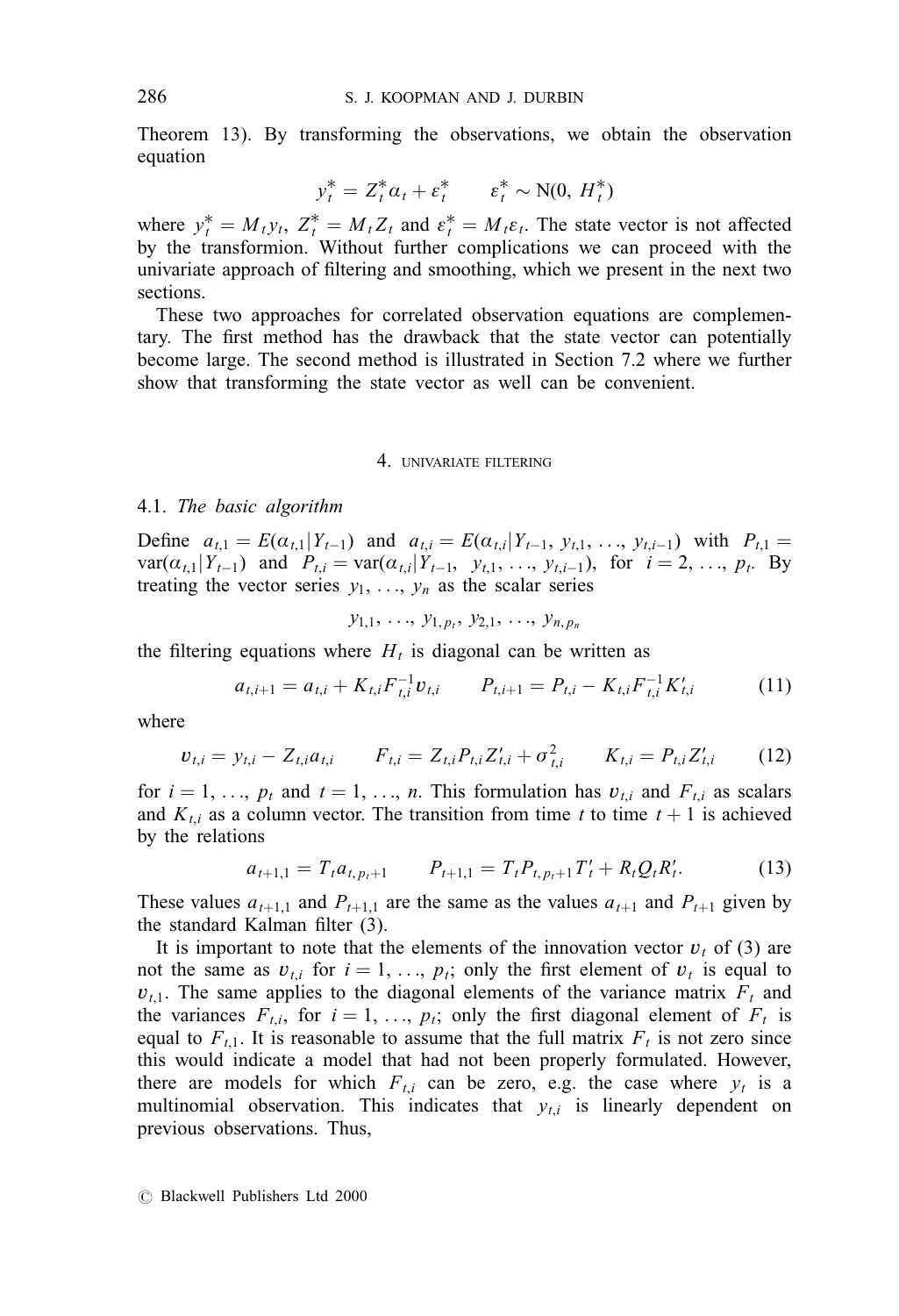Theorem 13). By transforming the observations, we obtain the observation equation

$$
y_t^* = Z_t^* \alpha_t + \varepsilon_t^* \qquad \varepsilon_t^* \sim \text{N}(0, H_t^*)
$$

where  $y_t^* = M_t y_t$ ,  $Z_t^* = M_t Z_t$  and  $\varepsilon_t^* = M_t \varepsilon_t$ . The state vector is not affected by the transformion. Without further complications we can proceed with the univariate approach of filtering and smoothing, which we present in the next two sections.

These two approaches for correlated observation equations are complementary. The first method has the drawback that the state vector can potentially become large. The second method is illustrated in Section 7.2 where we further show that transforming the state vector as well can be convenient.

### 4. UNIVARIATE FILTERING

### 4.1. The basic algorithm

Define  $a_{t,1} = E(a_{t,1}|Y_{t-1})$  and  $a_{t,i} = E(a_{t,i}|Y_{t-1}, y_{t,1}, \ldots, y_{t,i-1})$  with  $P_{t,1} =$ var( $\alpha_{t,1}|Y_{t-1}$ ) and  $P_{t,i} = \text{var}(\alpha_{t,i}|Y_{t-1}, y_{t,1}, \ldots, y_{t,i-1}),$  for  $i = 2, \ldots, p_t$ . By treating the vector series  $y_1, \ldots, y_n$  as the scalar series

$$
y_{1,1}, \ldots, y_{1,p_t}, y_{2,1}, \ldots, y_{n,p_n}
$$

the filtering equations where  $H_t$  is diagonal can be written as

$$
a_{t,i+1} = a_{t,i} + K_{t,i} F_{t,i}^{-1} v_{t,i} \qquad P_{t,i+1} = P_{t,i} - K_{t,i} F_{t,i}^{-1} K_{t,i}' \qquad (11)
$$

where

$$
v_{t,i} = y_{t,i} - Z_{t,i}a_{t,i} \qquad F_{t,i} = Z_{t,i}P_{t,i}Z'_{t,i} + \sigma_{t,i}^2 \qquad K_{t,i} = P_{t,i}Z'_{t,i} \qquad (12)
$$

for  $i = 1, \ldots, p_t$  and  $t = 1, \ldots, n$ . This formulation has  $v_{t,i}$  and  $F_{t,i}$  as scalars and  $K_{t,i}$  as a column vector. The transition from time t to time  $t + 1$  is achieved by the relations

$$
a_{t+1,1} = T_t a_{t,p_t+1} \qquad P_{t+1,1} = T_t P_{t,p_t+1} T'_t + R_t Q_t R'_t. \tag{13}
$$

These values  $a_{t+1,1}$  and  $P_{t+1,1}$  are the same as the values  $a_{t+1}$  and  $P_{t+1}$  given by the standard Kalman filter (3).

It is important to note that the elements of the innovation vector  $v_t$  of (3) are not the same as  $v_{t,i}$  for  $i = 1, \ldots, p_t$ ; only the first element of  $v_t$  is equal to  $v_{t,1}$ . The same applies to the diagonal elements of the variance matrix  $F_t$  and the variances  $F_{t,i}$ , for  $i = 1, \ldots, p_t$ ; only the first diagonal element of  $F_t$  is equal to  $F_{t,1}$ . It is reasonable to assume that the full matrix  $F_t$  is not zero since this would indicate a model that had not been properly formulated. However, there are models for which  $F_{t,i}$  can be zero, e.g. the case where  $y_t$  is a multinomial observation. This indicates that  $y_{t,i}$  is linearly dependent on previous observations. Thus,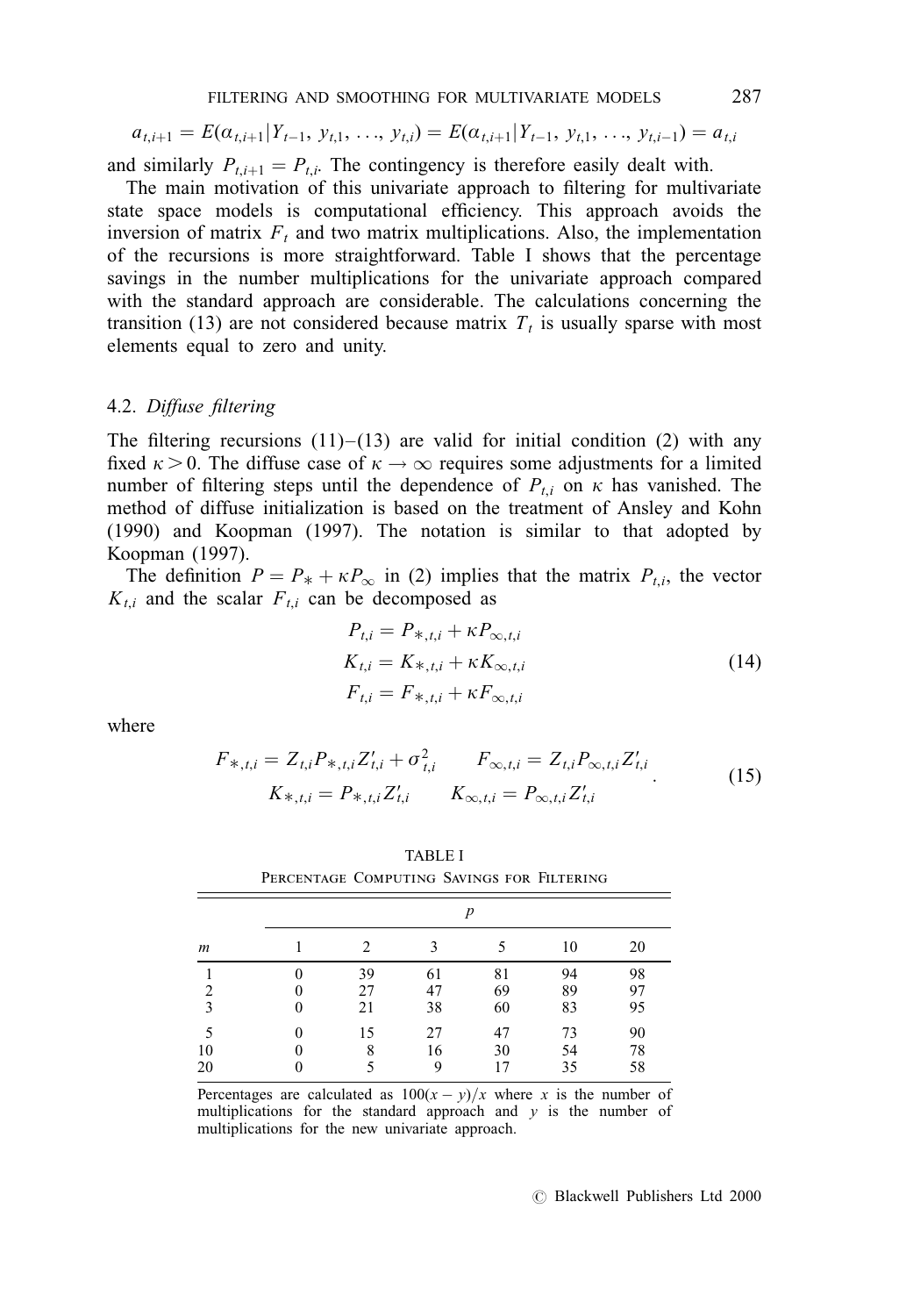$$
a_{t,i+1} = E(\alpha_{t,i+1}|Y_{t-1}, y_{t,1}, \ldots, y_{t,i}) = E(\alpha_{t,i+1}|Y_{t-1}, y_{t,1}, \ldots, y_{t,i-1}) = a_{t,i}
$$

and similarly  $P_{t,i+1} = P_{t,i}$ . The contingency is therefore easily dealt with.

The main motivation of this univariate approach to filtering for multivariate state space models is computational efficiency. This approach avoids the inversion of matrix  $F_t$  and two matrix multiplications. Also, the implementation of the recursions is more straightforward. Table I shows that the percentage savings in the number multiplications for the univariate approach compared with the standard approach are considerable. The calculations concerning the transition (13) are not considered because matrix  $T_t$  is usually sparse with most elements equal to zero and unity.

## 4.2. Diffuse filtering

The filtering recursions  $(11)-(13)$  are valid for initial condition (2) with any fixed  $\kappa > 0$ . The diffuse case of  $\kappa \to \infty$  requires some adjustments for a limited number of filtering steps until the dependence of  $P_{t,i}$  on  $\kappa$  has vanished. The method of diffuse initialization is based on the treatment of Ansley and Kohn (1990) and Koopman (1997). The notation is similar to that adopted by Koopman (1997).

The definition  $P = P_* + \kappa P_{\infty}$  in (2) implies that the matrix  $P_{t,i}$ , the vector  $K_{t,i}$  and the scalar  $F_{t,i}$  can be decomposed as

$$
P_{t,i} = P_{*,t,i} + \kappa P_{\infty,t,i}
$$
  
\n
$$
K_{t,i} = K_{*,t,i} + \kappa K_{\infty,t,i}
$$
  
\n
$$
F_{t,i} = F_{*,t,i} + \kappa F_{\infty,t,i}
$$
\n(14)

where

$$
F_{*,t,i} = Z_{t,i} P_{*,t,i} Z'_{t,i} + \sigma_{t,i}^2 \qquad F_{\infty,t,i} = Z_{t,i} P_{\infty,t,i} Z'_{t,i}
$$
  

$$
K_{*,t,i} = P_{*,t,i} Z'_{t,i} \qquad K_{\infty,t,i} = P_{\infty,t,i} Z'_{t,i}
$$
 (15)

| $\boldsymbol{m}$ | $\boldsymbol{p}$ |                |                |                |                |                |  |  |
|------------------|------------------|----------------|----------------|----------------|----------------|----------------|--|--|
|                  |                  | 2              |                |                | 10             | 20             |  |  |
| 2<br>3           | 0<br>0<br>0      | 39<br>27<br>21 | 61<br>47<br>38 | 81<br>69<br>60 | 94<br>89<br>83 | 98<br>97<br>95 |  |  |
| 10<br>20         | 0<br>0<br>0      | 15<br>8        | 27<br>16<br>9  | 47<br>30<br>17 | 73<br>54<br>35 | 90<br>78<br>58 |  |  |

TABLE I Percentage Computing Savings for Filtering

Percentages are calculated as  $100(x - y)/x$  where x is the number of multiplications for the standard approach and  $y$  is the number of multiplications for the new univariate approach.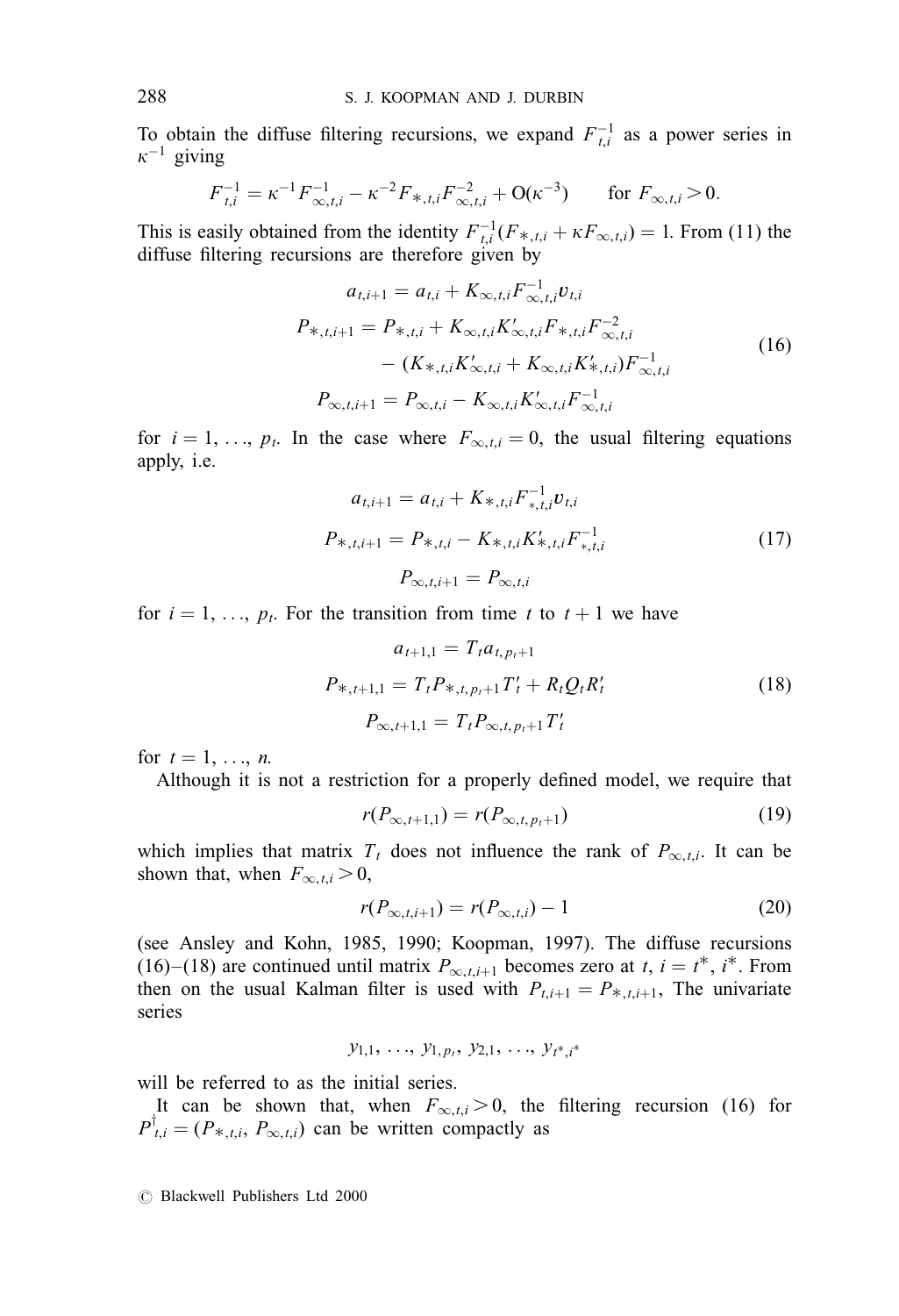To obtain the diffuse filtering recursions, we expand  $F_{t,i}^{-1}$  as a power series in  $\kappa^{-1}$  giving

$$
F_{t,i}^{-1} = \kappa^{-1} F_{\infty,t,i}^{-1} - \kappa^{-2} F_{*,t,i} F_{\infty,t,i}^{-2} + \mathcal{O}(\kappa^{-3}) \qquad \text{for } F_{\infty,t,i} > 0.
$$

This is easily obtained from the identity  $F_{t,i}^{-1}(F_{*,t,i} + \kappa F_{\infty,t,i}) = 1$ . From (11) the diffuse filtering recursions are therefore given by

$$
a_{t,i+1} = a_{t,i} + K_{\infty,t,i} F_{\infty,t,i}^{-1} v_{t,i}
$$
  
\n
$$
P_{*,t,i+1} = P_{*,t,i} + K_{\infty,t,i} K_{\infty,t,i}' F_{*,t,i} F_{\infty,t,i}^{-2}
$$
  
\n
$$
- (K_{*,t,i} K_{\infty,t,i}' + K_{\infty,t,i} K_{*,t,i}') F_{\infty,t,i}^{-1}
$$
  
\n
$$
P_{\infty,t,i+1} = P_{\infty,t,i} - K_{\infty,t,i} K_{\infty,t,i}' F_{\infty,t,i}^{-1}
$$
\n(16)

for  $i = 1, \ldots, p_t$ . In the case where  $F_{\infty, t,i} = 0$ , the usual filtering equations apply, i.e.

$$
a_{t,i+1} = a_{t,i} + K_{*,t,i} F_{*,t,i}^{-1} v_{t,i}
$$
  
\n
$$
P_{*,t,i+1} = P_{*,t,i} - K_{*,t,i} K_{*,t,i}^{\prime} F_{*,t,i}^{-1}
$$
  
\n
$$
P_{\infty,t,i+1} = P_{\infty,t,i}
$$
\n(17)

for  $i = 1, \ldots, p_t$ . For the transition from time t to  $t + 1$  we have

$$
a_{t+1,1} = T_t a_{t, p_t+1}
$$
  
\n
$$
P_{*, t+1,1} = T_t P_{*, t, p_t+1} T'_t + R_t Q_t R'_t
$$
  
\n
$$
P_{\infty, t+1,1} = T_t P_{\infty, t, p_t+1} T'_t
$$
\n(18)

for  $t = 1, \ldots, n$ .

Although it is not a restriction for a properly defined model, we require that

$$
r(P_{\infty,t+1,1}) = r(P_{\infty,t,p_t+1})
$$
\n(19)

which implies that matrix  $T_t$  does not influence the rank of  $P_{\infty,t,i}$ . It can be shown that, when  $F_{\infty,t,i} > 0$ ,

$$
r(P_{\infty,t,i+1}) = r(P_{\infty,t,i}) - 1
$$
\n(20)

(see Ansley and Kohn, 1985, 1990; Koopman, 1997). The diffuse recursions (16)–(18) are continued until matrix  $P_{\infty,t,i+1}$  becomes zero at t,  $i = t^*$ ,  $i^*$ . From then on the usual Kalman filter is used with  $P_{t,i+1} = P_{*,t,i+1}$ , The univariate series

$$
y_{1,1}, \ldots, y_{1,p_t}, y_{2,1}, \ldots, y_{t^*, i^*}
$$

will be referred to as the initial series.

It can be shown that, when  $F_{\infty,t,i} > 0$ , the filtering recursion (16) for  $P^{\dagger}_{t,i} = (P_{*,t,i}, P_{\infty,t,i})$  can be written compactly as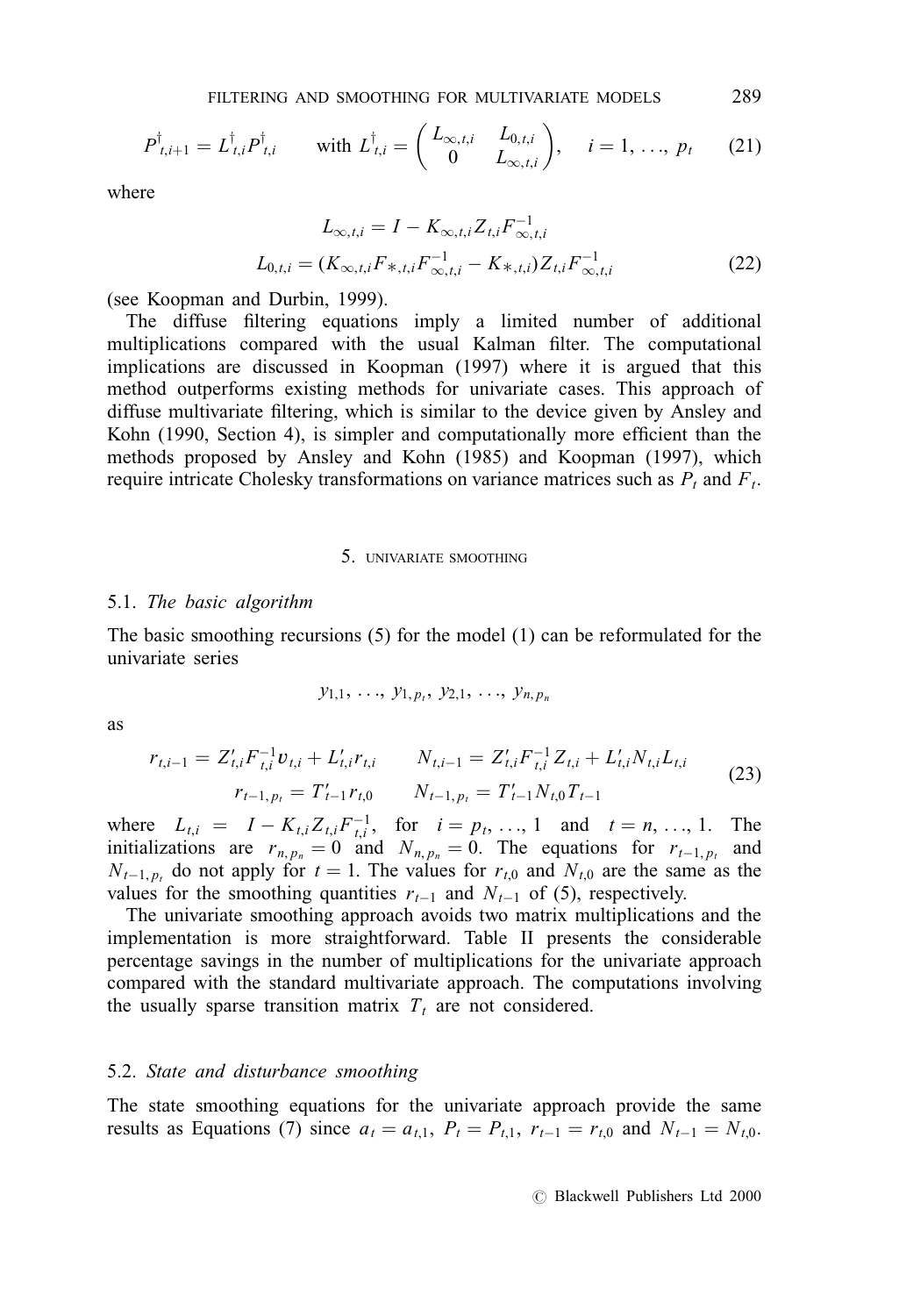$$
P^{\dagger}_{t,i+1} = L^{\dagger}_{t,i} P^{\dagger}_{t,i} \qquad \text{with } L^{\dagger}_{t,i} = \begin{pmatrix} L_{\infty,t,i} & L_{0,t,i} \\ 0 & L_{\infty,t,i} \end{pmatrix}, \quad i = 1, \ldots, p_t \qquad (21)
$$

where

$$
L_{\infty,t,i} = I - K_{\infty,t,i} Z_{t,i} F_{\infty,t,i}^{-1}
$$
  

$$
L_{0,t,i} = (K_{\infty,t,i} F_{*,t,i} F_{\infty,t,i}^{-1} - K_{*,t,i}) Z_{t,i} F_{\infty,t,i}^{-1}
$$
 (22)

(see Koopman and Durbin, 1999).

The diffuse filtering equations imply a limited number of additional multiplications compared with the usual Kalman filter. The computational implications are discussed in Koopman (1997) where it is argued that this method outperforms existing methods for univariate cases. This approach of diffuse multivariate filtering, which is similar to the device given by Ansley and Kohn (1990, Section 4), is simpler and computationally more efficient than the methods proposed by Ansley and Kohn (1985) and Koopman (1997), which require intricate Cholesky transformations on variance matrices such as  $P_t$  and  $F_t$ .

#### 5. UNIVARIATE SMOOTHING

### 5.1. The basic algorithm

The basic smoothing recursions (5) for the model (1) can be reformulated for the univariate series

$$
y_{1,1}, \ldots, y_{1,p_t}, y_{2,1}, \ldots, y_{n,p_n}
$$

as

$$
r_{t,i-1} = Z'_{t,i} F_{t,i}^{-1} v_{t,i} + L'_{t,i} r_{t,i} \t N_{t,i-1} = Z'_{t,i} F_{t,i}^{-1} Z_{t,i} + L'_{t,i} N_{t,i} L_{t,i}
$$
  
\n
$$
r_{t-1,p_t} = T'_{t-1} r_{t,0} \t N_{t-1,p_t} = T'_{t-1} N_{t,0} T_{t-1}
$$
\n(23)

where  $L_{t,i} = I - K_{t,i} Z_{t,i} F_{t,i}^{-1}$ , for  $i = p_t, ..., 1$  and  $t = n, ..., 1$ . The initializations are  $r_{n, p_n} = 0$  and  $N_{n, p_n} = 0$ . The equations for  $r_{t-1, p_t}$  and  $N_{t-1, p_t}$  do not apply for  $t = 1$ . The values for  $r_{t,0}$  and  $N_{t,0}$  are the same as the values for the smoothing quantities  $r_{t-1}$  and  $N_{t-1}$  of (5), respectively.

The univariate smoothing approach avoids two matrix multiplications and the implementation is more straightforward. Table II presents the considerable percentage savings in the number of multiplications for the univariate approach compared with the standard multivariate approach. The computations involving the usually sparse transition matrix  $T_t$  are not considered.

## 5.2. State and disturbance smoothing

The state smoothing equations for the univariate approach provide the same results as Equations (7) since  $a_t = a_{t,1}$ ,  $P_t = P_{t,1}$ ,  $r_{t-1} = r_{t,0}$  and  $N_{t-1} = N_{t,0}$ .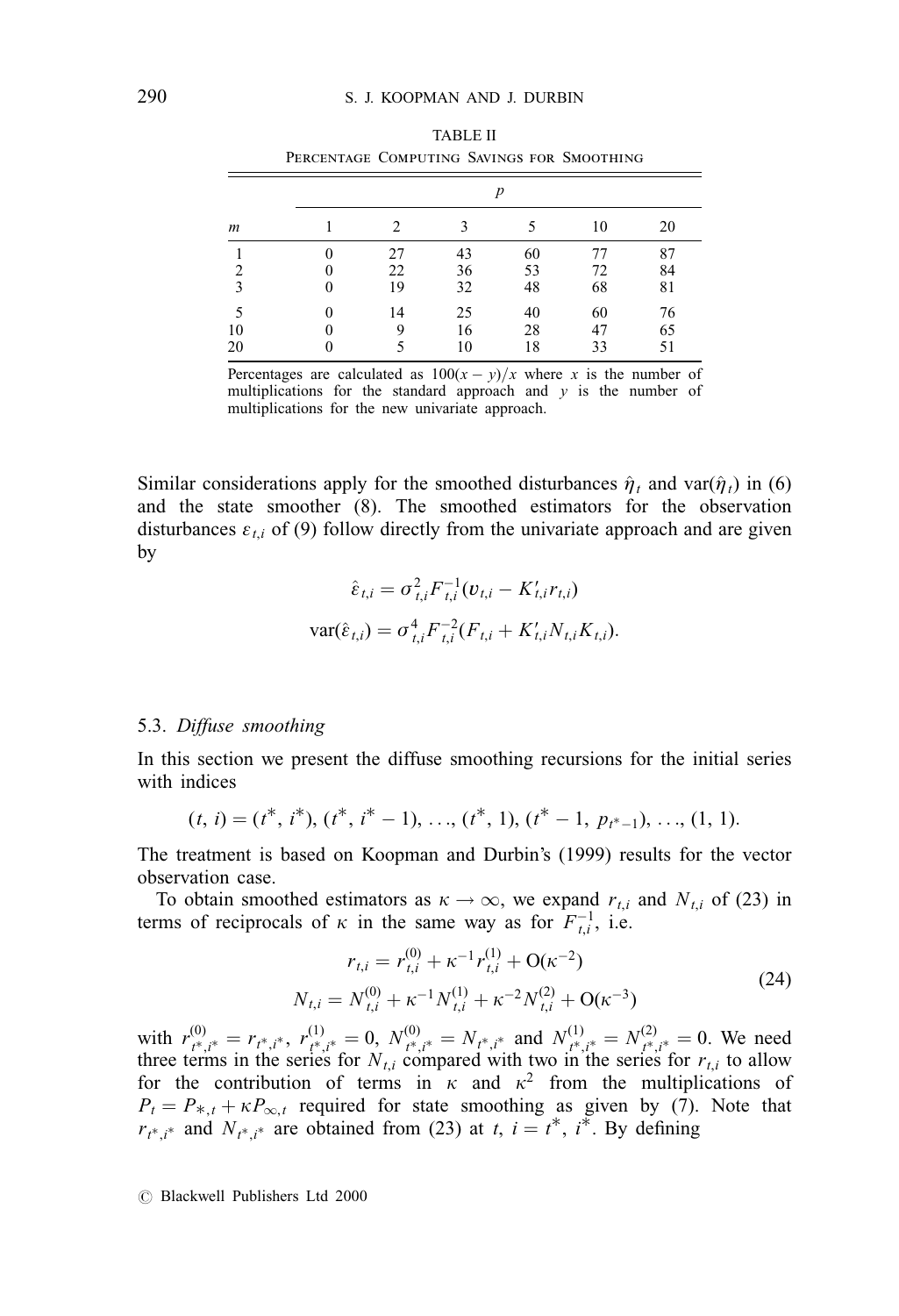|    | PERCENTAGE COMPUTING SAVINGS FOR SMOOTHING<br>p |    |    |    |    |    |  |  |  |
|----|-------------------------------------------------|----|----|----|----|----|--|--|--|
| m  |                                                 |    |    |    |    |    |  |  |  |
|    |                                                 | 2  |    |    | 10 | 20 |  |  |  |
|    |                                                 | 27 | 43 | 60 | 77 | 87 |  |  |  |
|    |                                                 | 22 | 36 | 53 | 72 | 84 |  |  |  |
|    |                                                 | 19 | 32 | 48 | 68 | 81 |  |  |  |
|    |                                                 | 14 | 25 | 40 | 60 | 76 |  |  |  |
| 10 |                                                 | 9  | 16 | 28 |    | 65 |  |  |  |
| 20 |                                                 |    |    | 18 | 33 | 51 |  |  |  |

TABLE II

Percentages are calculated as  $100(x - y)/x$  where x is the number of multiplications for the standard approach and  $y$  is the number of multiplications for the new univariate approach.

Similar considerations apply for the smoothed disturbances  $\hat{\eta}_t$  and var( $\hat{\eta}_t$ ) in (6) and the state smoother (8). The smoothed estimators for the observation disturbances  $\varepsilon_{t,i}$  of (9) follow directly from the univariate approach and are given by

$$
\hat{\varepsilon}_{t,i} = \sigma_{t,i}^2 F_{t,i}^{-1} (v_{t,i} - K'_{t,i} r_{t,i})
$$

$$
var(\hat{\varepsilon}_{t,i}) = \sigma_{t,i}^4 F_{t,i}^{-2} (F_{t,i} + K'_{t,i} N_{t,i} K_{t,i}).
$$

### 5.3. Diffuse smoothing

In this section we present the diffuse smoothing recursions for the initial series with indices

$$
(t, i) = (t^*, i^*), (t^*, i^* - 1), \ldots, (t^*, 1), (t^* - 1, p_{t^*-1}), \ldots, (1, 1).
$$

The treatment is based on Koopman and Durbin's (1999) results for the vector observation case.

To obtain smoothed estimators as  $\kappa \to \infty$ , we expand  $r_{t,i}$  and  $N_{t,i}$  of (23) in terms of reciprocals of  $\kappa$  in the same way as for  $F_{t,i}^{-1}$ , i.e.

$$
r_{t,i} = r_{t,i}^{(0)} + \kappa^{-1} r_{t,i}^{(1)} + O(\kappa^{-2})
$$
  

$$
N_{t,i} = N_{t,i}^{(0)} + \kappa^{-1} N_{t,i}^{(1)} + \kappa^{-2} N_{t,i}^{(2)} + O(\kappa^{-3})
$$
 (24)

with  $r_{t^*,i^*}^{(0)} = r_{t^*,i^*}, r_{t^*,i^*}^{(1)} = 0$ ,  $N_{t^*,i^*}^{(0)} = N_{t^*,i^*}$  and  $N_{t^*,i^*}^{(1)} = N_{t^*,i^*}^{(2)} = 0$ . We need three terms in the series for  $N_{t,i}$  compared with two in the series for  $r_{t,i}$  to allow for the contribution of terms in  $\kappa$  and  $\kappa^2$  from the multiplications of  $P_t = P_{*,t} + \kappa P_{\infty,t}$  required for state smoothing as given by (7). Note that  $r_{t^*, i^*}$  and  $N_{t^*, i^*}$  are obtained from (23) at t,  $i = t^*, i^*$ . By defining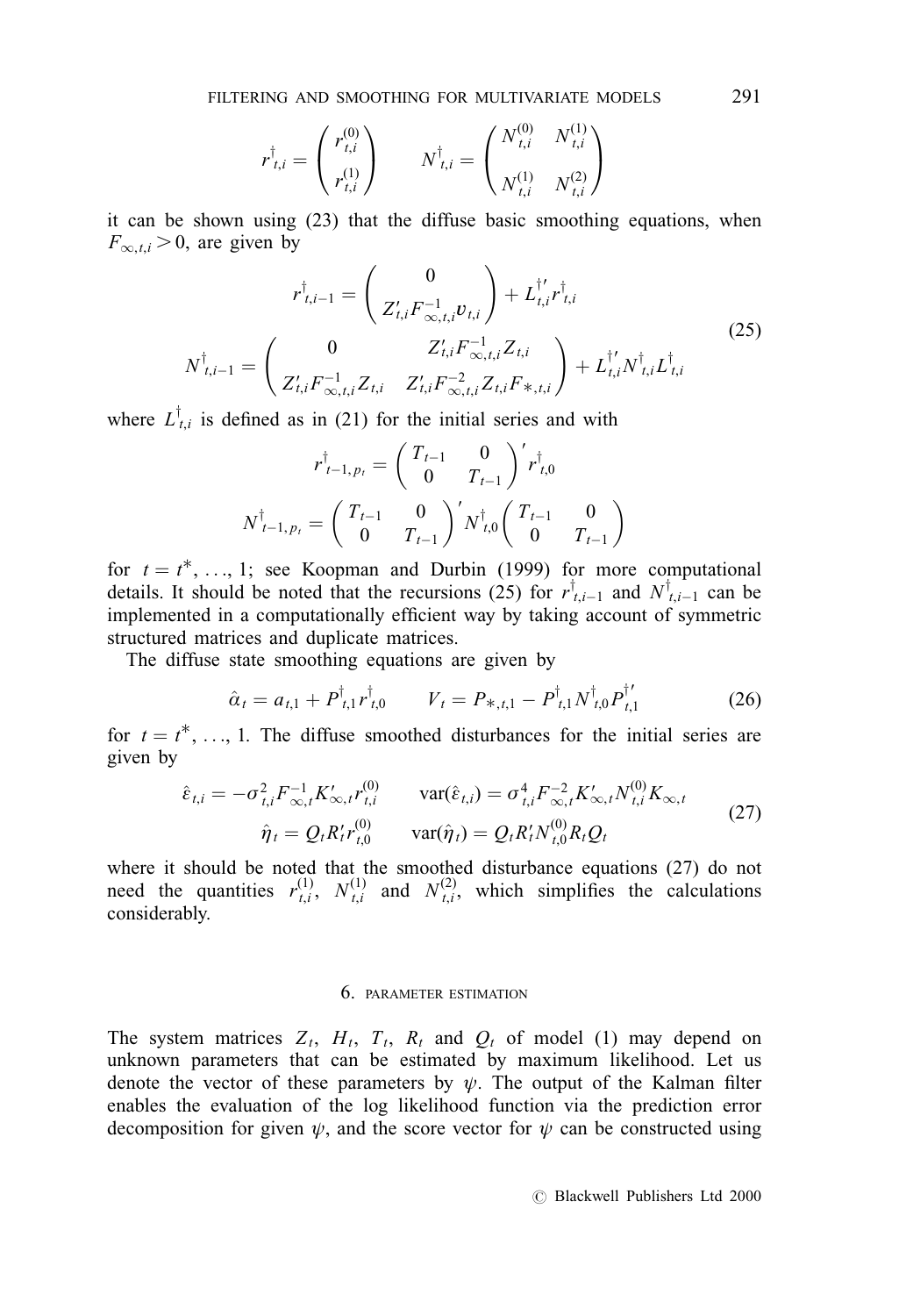$$
r_{t,i}^{\dagger} = \begin{pmatrix} r_{t,i}^{(0)} \\ r_{t,i}^{(1)} \end{pmatrix} \qquad N_{t,i}^{\dagger} = \begin{pmatrix} N_{t,i}^{(0)} & N_{t,i}^{(1)} \\ N_{t,i}^{(1)} & N_{t,i}^{(2)} \end{pmatrix}
$$

it can be shown using (23) that the diffuse basic smoothing equations, when  $F_{\infty,t,i} > 0$ , are given by

$$
r_{t,i-1}^{\dagger} = \begin{pmatrix} 0 \\ Z_{t,i}'F_{\infty,t,i}^{-1}v_{t,i} \end{pmatrix} + L_{t,i}^{\dagger'}r_{t,i}^{\dagger}
$$
  
\n
$$
N_{t,i-1}^{\dagger} = \begin{pmatrix} 0 & Z_{t,i}'F_{\infty,t,i}^{-1}Z_{t,i} \\ Z_{t,i}'F_{\infty,t,i}^{-1}Z_{t,i} & Z_{t,i}'F_{\infty,t,i}^{-2}Z_{t,i}F_{*,t,i} \end{pmatrix} + L_{t,i}^{\dagger'}N_{t,i}^{\dagger}L_{t,i}^{\dagger}
$$
\n(25)

where  $L_{t,i}^{\dagger}$  is defined as in (21) for the initial series and with

$$
r_{t-1, p_t}^{\dagger} = \begin{pmatrix} T_{t-1} & 0 \\ 0 & T_{t-1} \end{pmatrix}' r_{t, 0}^{\dagger}
$$

$$
N_{t-1, p_t}^{\dagger} = \begin{pmatrix} T_{t-1} & 0 \\ 0 & T_{t-1} \end{pmatrix}' N_{t, 0}^{\dagger} \begin{pmatrix} T_{t-1} & 0 \\ 0 & T_{t-1} \end{pmatrix}
$$

for  $t = t^*$ , ..., 1; see Koopman and Durbin (1999) for more computational details. It should be noted that the recursions (25) for  $r^{\dagger}_{t,i-1}$  and  $N^{\dagger}_{t,i-1}$  can be implemented in a computationally efficient way by taking account of symmetric structured matrices and duplicate matrices.

The diffuse state smoothing equations are given by

$$
\hat{\alpha}_t = a_{t,1} + P^{\dagger}_{t,1} r^{\dagger}_{t,0} \qquad V_t = P_{*,t,1} - P^{\dagger}_{t,1} N^{\dagger}_{t,0} P^{\dagger'}_{t,1} \tag{26}
$$

for  $t = t^*$ , ..., 1. The diffuse smoothed disturbances for the initial series are given by

$$
\hat{\varepsilon}_{t,i} = -\sigma_{t,i}^2 F_{\infty,t}^{-1} K_{\infty,t}' r_{t,i}^{(0)} \qquad \text{var}(\hat{\varepsilon}_{t,i}) = \sigma_{t,i}^4 F_{\infty,t}^{-2} K_{\infty,t}' N_{t,i}^{(0)} K_{\infty,t}
$$
\n
$$
\hat{\eta}_t = Q_t R_t' r_{t,0}^{(0)} \qquad \text{var}(\hat{\eta}_t) = Q_t R_t' N_{t,0}^{(0)} R_t Q_t \qquad (27)
$$

where it should be noted that the smoothed disturbance equations (27) do not need the quantities  $r_{t,i}^{(1)}, N_{t,i}^{(1)}$  and  $N_{t,i}^{(2)},$  which simplifies the calculations considerably.

## 6. PARAMETER ESTIMATION

The system matrices  $Z_t$ ,  $H_t$ ,  $T_t$ ,  $R_t$  and  $Q_t$  of model (1) may depend on unknown parameters that can be estimated by maximum likelihood. Let us denote the vector of these parameters by  $\psi$ . The output of the Kalman filter enables the evaluation of the log likelihood function via the prediction error decomposition for given  $\psi$ , and the score vector for  $\psi$  can be constructed using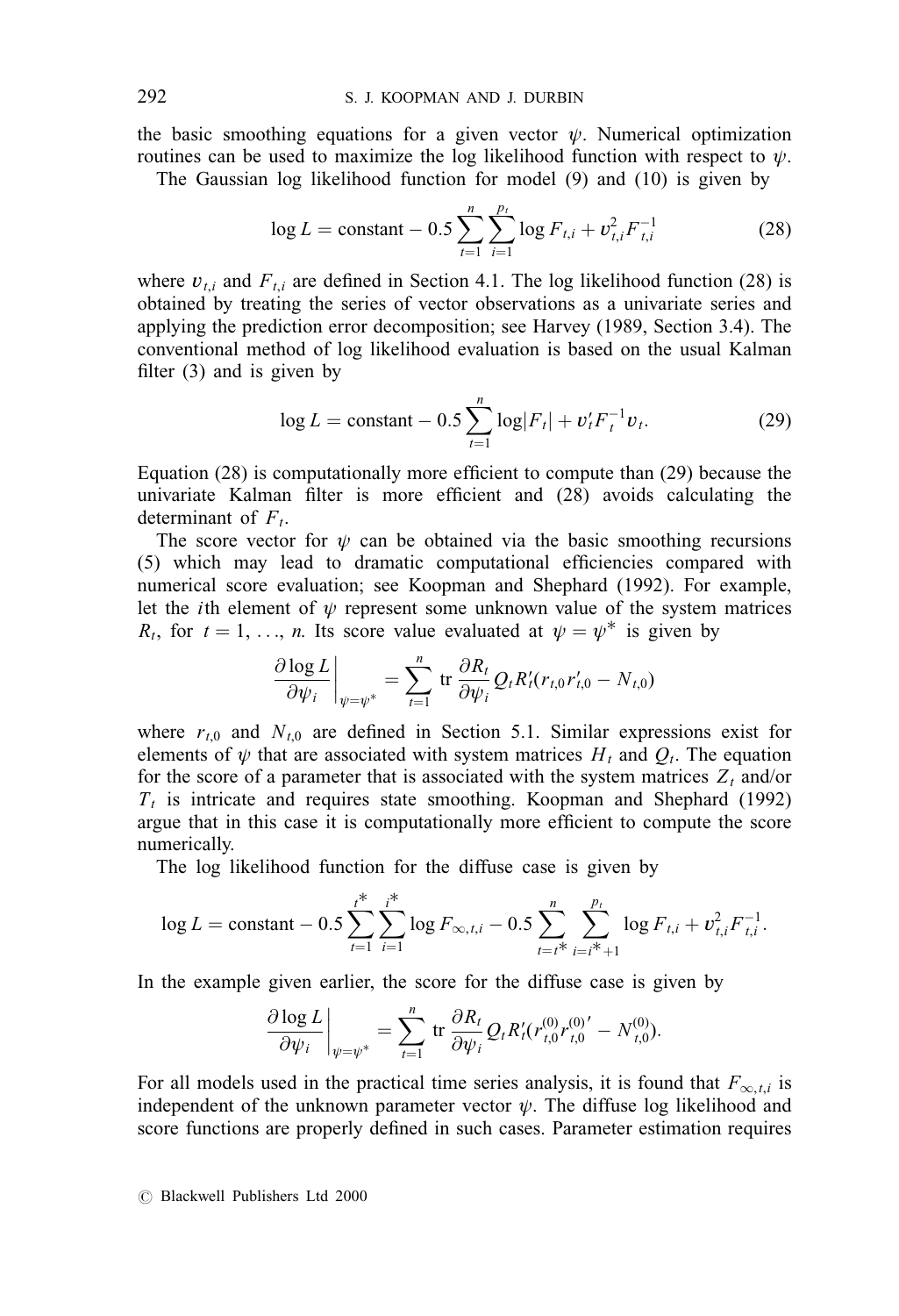the basic smoothing equations for a given vector  $\psi$ . Numerical optimization routines can be used to maximize the log likelihood function with respect to  $\psi$ .

The Gaussian log likelihood function for model (9) and (10) is given by

$$
\log L = \text{constant} - 0.5 \sum_{t=1}^{n} \sum_{i=1}^{p_t} \log F_{t,i} + v_{t,i}^2 F_{t,i}^{-1}
$$
 (28)

where  $v_{ti}$  and  $F_{ti}$  are defined in Section 4.1. The log likelihood function (28) is obtained by treating the series of vector observations as a univariate series and applying the prediction error decomposition; see Harvey (1989, Section 3.4). The conventional method of log likelihood evaluation is based on the usual Kalman filter  $(3)$  and is given by

$$
\log L = \text{constant} - 0.5 \sum_{t=1}^{n} \log |F_t| + v_t' F_t^{-1} v_t. \tag{29}
$$

Equation  $(28)$  is computationally more efficient to compute than  $(29)$  because the univariate Kalman filter is more efficient and  $(28)$  avoids calculating the determinant of  $F_t$ .

The score vector for  $\psi$  can be obtained via the basic smoothing recursions  $(5)$  which may lead to dramatic computational efficiencies compared with numerical score evaluation; see Koopman and Shephard (1992). For example, let the *i*th element of  $\psi$  represent some unknown value of the system matrices  $R_t$ , for  $t = 1, \ldots, n$ . Its score value evaluated at  $\psi = \psi^*$  is given by

$$
\left.\frac{\partial \log L}{\partial \psi_i}\right|_{\psi=\psi^*}=\sum_{t=1}^n \operatorname{tr} \frac{\partial R_t}{\partial \psi_i} Q_t R'_t(r_{t,0}r'_{t,0}-N_{t,0})
$$

where  $r_{t,0}$  and  $N_{t,0}$  are defined in Section 5.1. Similar expressions exist for elements of  $\psi$  that are associated with system matrices  $H_t$  and  $Q_t$ . The equation for the score of a parameter that is associated with the system matrices  $Z_t$  and/or  $T<sub>t</sub>$  is intricate and requires state smoothing. Koopman and Shephard (1992) argue that in this case it is computationally more efficient to compute the score numerically.

The log likelihood function for the diffuse case is given by

$$
\log L = \text{constant} - 0.5 \sum_{t=1}^{i^*} \sum_{i=1}^{i^*} \log F_{\infty,t,i} - 0.5 \sum_{t=i^*}^n \sum_{i=i^*+1}^{p_t} \log F_{t,i} + v_{t,i}^2 F_{t,i}^{-1}.
$$

In the example given earlier, the score for the diffuse case is given by

$$
\frac{\partial \log L}{\partial \psi_i}\bigg|_{\psi=\psi^*} = \sum_{t=1}^n \text{ tr }\frac{\partial R_t}{\partial \psi_i} Q_t R_t'(r_{t,0}^{(0)} r_{t,0}^{(0)})' - N_{t,0}^{(0)}).
$$

For all models used in the practical time series analysis, it is found that  $F_{\infty,t,i}$  is independent of the unknown parameter vector  $\psi$ . The diffuse log likelihood and score functions are properly defined in such cases. Parameter estimation requires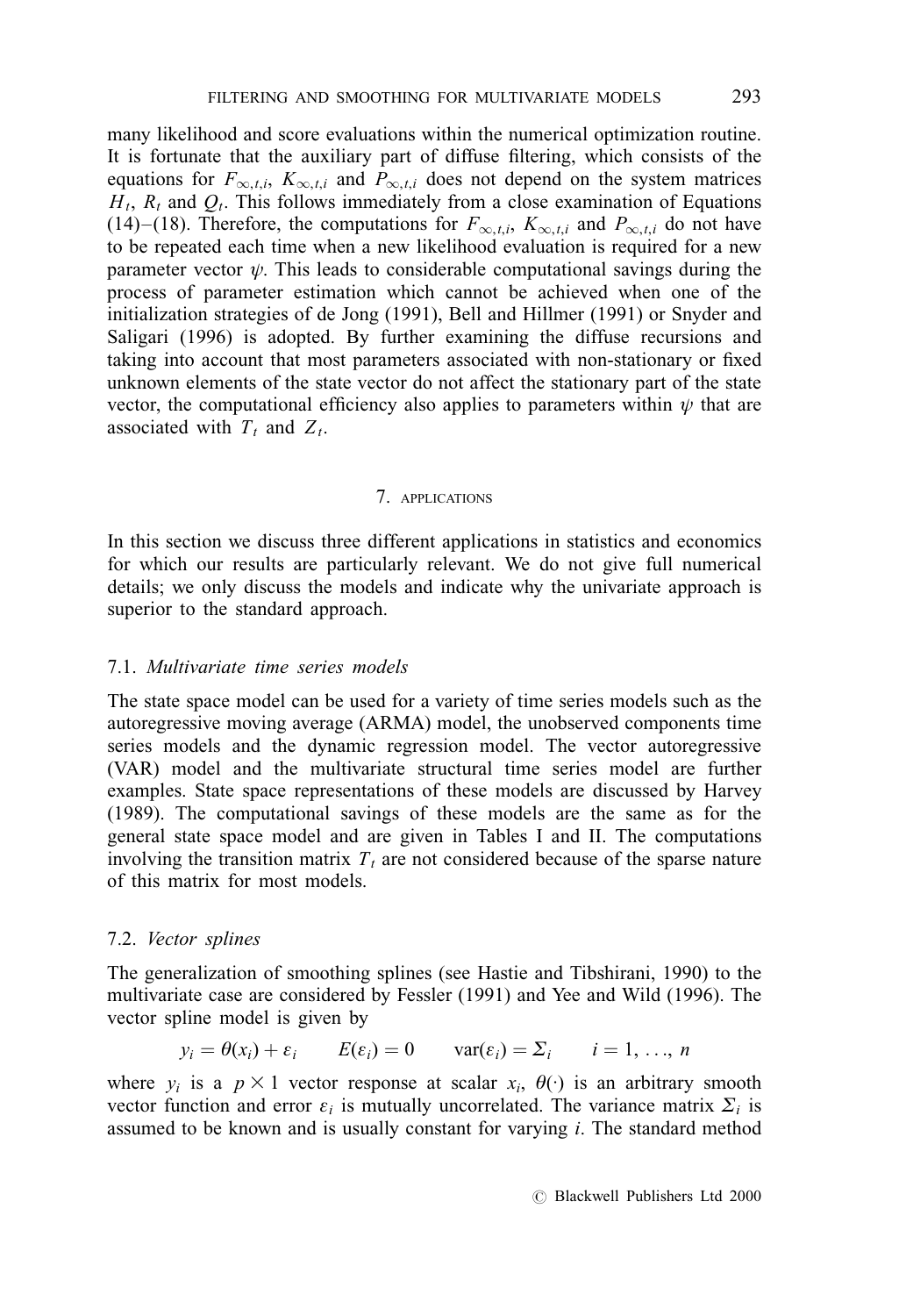many likelihood and score evaluations within the numerical optimization routine. It is fortunate that the auxiliary part of diffuse filtering, which consists of the equations for  $F_{\infty,t,i}$ ,  $K_{\infty,t,i}$  and  $P_{\infty,t,i}$  does not depend on the system matrices  $H_t$ ,  $R_t$  and  $Q_t$ . This follows immediately from a close examination of Equations (14)–(18). Therefore, the computations for  $F_{\infty, t,i}$ ,  $K_{\infty, t,i}$  and  $P_{\infty, t,i}$  do not have to be repeated each time when a new likelihood evaluation is required for a new parameter vector  $\psi$ . This leads to considerable computational savings during the process of parameter estimation which cannot be achieved when one of the initialization strategies of de Jong (1991), Bell and Hillmer (1991) or Snyder and Saligari (1996) is adopted. By further examining the diffuse recursions and taking into account that most parameters associated with non-stationary or fixed unknown elements of the state vector do not affect the stationary part of the state vector, the computational efficiency also applies to parameters within  $\psi$  that are associated with  $T_t$  and  $Z_t$ .

### 7. APPLICATIONS

In this section we discuss three different applications in statistics and economics for which our results are particularly relevant. We do not give full numerical details; we only discuss the models and indicate why the univariate approach is superior to the standard approach.

### 7.1. Multivariate time series models

The state space model can be used for a variety of time series models such as the autoregressive moving average (ARMA) model, the unobserved components time series models and the dynamic regression model. The vector autoregressive (VAR) model and the multivariate structural time series model are further examples. State space representations of these models are discussed by Harvey (1989). The computational savings of these models are the same as for the general state space model and are given in Tables I and II. The computations involving the transition matrix  $T_t$  are not considered because of the sparse nature of this matrix for most models.

## 7.2. Vector splines

The generalization of smoothing splines (see Hastie and Tibshirani, 1990) to the multivariate case are considered by Fessler (1991) and Yee and Wild (1996). The vector spline model is given by

$$
y_i = \theta(x_i) + \varepsilon_i
$$
  $E(\varepsilon_i) = 0$   $var(\varepsilon_i) = \Sigma_i$   $i = 1, ..., n$ 

where  $y_i$  is a  $p \times 1$  vector response at scalar  $x_i$ ,  $\theta(\cdot)$  is an arbitrary smooth vector function and error  $\varepsilon_i$  is mutually uncorrelated. The variance matrix  $\Sigma_i$  is assumed to be known and is usually constant for varying  $i$ . The standard method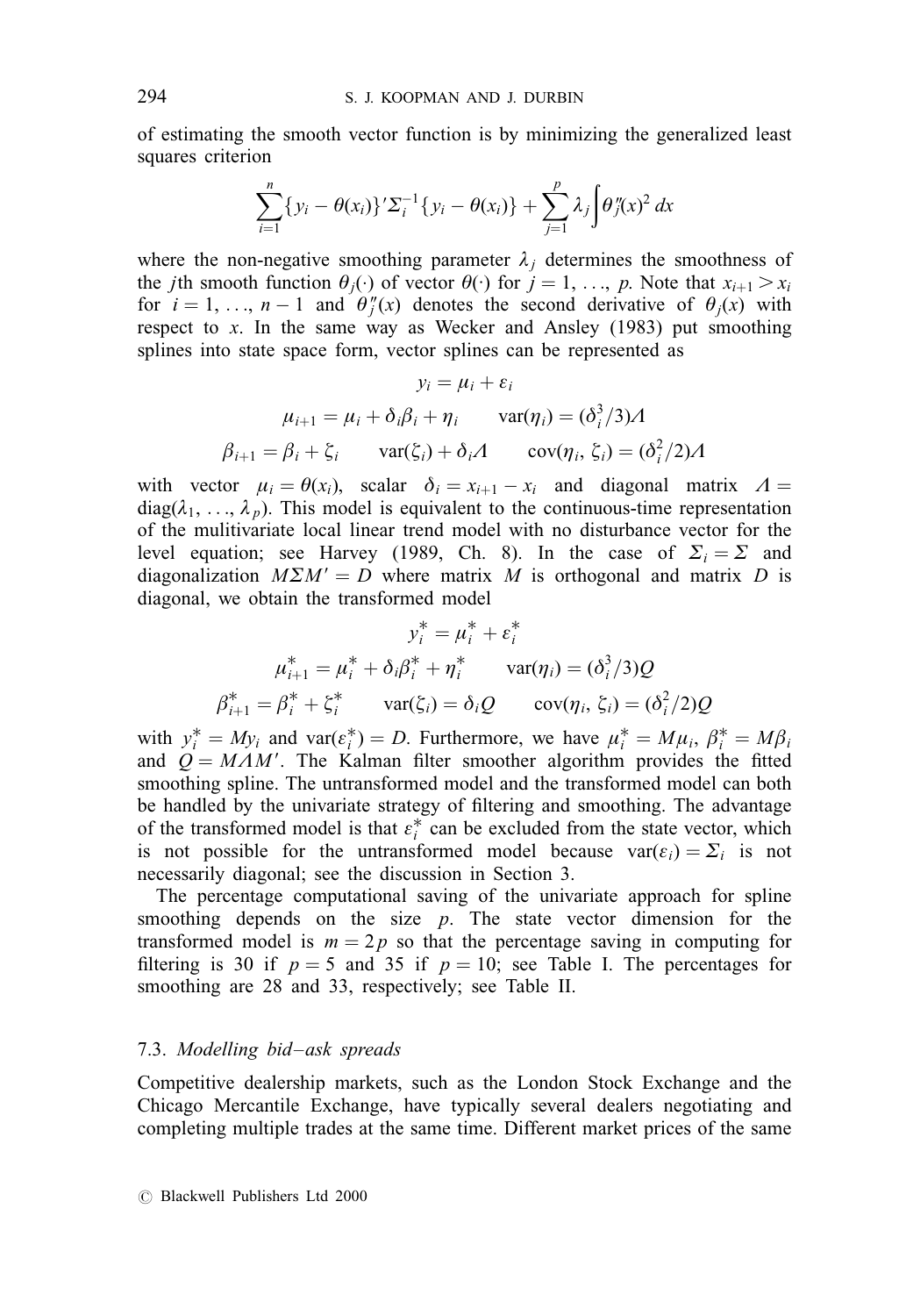of estimating the smooth vector function is by minimizing the generalized least squares criterion

$$
\sum_{i=1}^n \{y_i - \theta(x_i)\}^{\prime} \sum_i^{-1} \{y_i - \theta(x_i)\} + \sum_{j=1}^p \lambda_j \int \theta_j^{\prime\prime}(x)^2 dx
$$

where the non-negative smoothing parameter  $\lambda_i$  determines the smoothness of the *j*th smooth function  $\theta_i(\cdot)$  of vector  $\theta(\cdot)$  for  $j = 1, ..., p$ . Note that  $x_{i+1} > x_i$ for  $i = 1, ..., n - 1$  and  $\theta''_j(x)$  denotes the second derivative of  $\theta_j(x)$  with respect to x. In the same way as Wecker and Ansley  $(1983)$  put smoothing splines into state space form, vector splines can be represented as

$$
y_i = \mu_i + \varepsilon_i
$$
  

$$
\mu_{i+1} = \mu_i + \delta_i \beta_i + \eta_i \quad \text{var}(\eta_i) = (\delta_i^3 / 3) \Lambda
$$
  

$$
\beta_{i+1} = \beta_i + \xi_i \quad \text{var}(\xi_i) + \delta_i \Lambda \quad \text{cov}(\eta_i, \xi_i) = (\delta_i^2 / 2) \Lambda
$$

with vector  $\mu_i = \theta(x_i)$ , scalar  $\delta_i = x_{i+1} - x_i$  and diagonal matrix  $\Lambda =$  $diag(\lambda_1, \ldots, \lambda_n)$ . This model is equivalent to the continuous-time representation of the mulitivariate local linear trend model with no disturbance vector for the level equation; see Harvey (1989, Ch. 8). In the case of  $\Sigma_i = \Sigma$  and diagonalization  $M\Sigma M' = D$  where matrix M is orthogonal and matrix D is diagonal, we obtain the transformed model

$$
y_i^* = \mu_i^* + \varepsilon_i^*
$$
  
\n
$$
\mu_{i+1}^* = \mu_i^* + \delta_i \beta_i^* + \eta_i^* \quad \text{var}(\eta_i) = (\delta_i^3 / 3)Q
$$
  
\n
$$
\beta_{i+1}^* = \beta_i^* + \zeta_i^* \quad \text{var}(\zeta_i) = \delta_i Q \quad \text{cov}(\eta_i, \zeta_i) = (\delta_i^2 / 2)Q
$$

with  $y_i^* = My_i$  and  $\text{var}(\varepsilon_i^*) = D$ . Furthermore, we have  $\mu_i^* = M\mu_i$ ,  $\beta_i^* = M\beta_i$ and  $Q = MAM'$ . The Kalman filter smoother algorithm provides the fitted smoothing spline. The untransformed model and the transformed model can both be handled by the univariate strategy of filtering and smoothing. The advantage of the transformed model is that  $\varepsilon_i^*$  can be excluded from the state vector, which is not possible for the untransformed model because  $var(\varepsilon_i) = \sum_i$  is not necessarily diagonal; see the discussion in Section 3.

The percentage computational saving of the univariate approach for spline smoothing depends on the size  $p$ . The state vector dimension for the transformed model is  $m = 2p$  so that the percentage saving in computing for filtering is 30 if  $p = 5$  and 35 if  $p = 10$ ; see Table I. The percentages for smoothing are 28 and 33, respectively; see Table II.

## 7.3. Modelling bid-ask spreads

Competitive dealership markets, such as the London Stock Exchange and the Chicago Mercantile Exchange, have typically several dealers negotiating and completing multiple trades at the same time. Different market prices of the same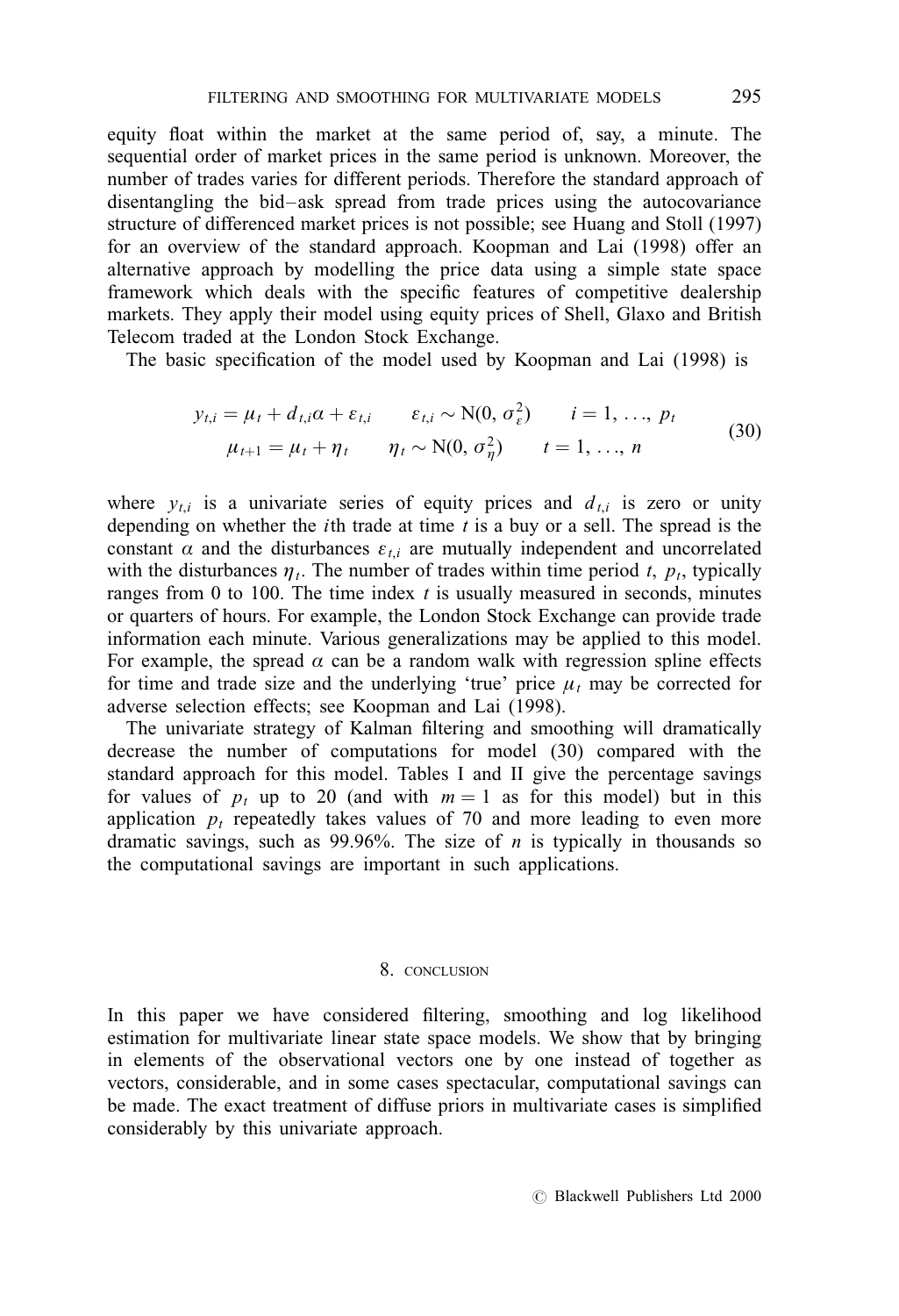equity float within the market at the same period of, say, a minute. The sequential order of market prices in the same period is unknown. Moreover, the number of trades varies for different periods. Therefore the standard approach of disentangling the bid-ask spread from trade prices using the autocovariance structure of differenced market prices is not possible; see Huang and Stoll (1997) for an overview of the standard approach. Koopman and Lai (1998) offer an alternative approach by modelling the price data using a simple state space framework which deals with the specific features of competitive dealership markets. They apply their model using equity prices of Shell, Glaxo and British Telecom traded at the London Stock Exchange.

The basic specification of the model used by Koopman and Lai (1998) is

$$
y_{t,i} = \mu_t + d_{t,i}\alpha + \varepsilon_{t,i} \qquad \varepsilon_{t,i} \sim N(0, \sigma_{\varepsilon}^2) \qquad i = 1, ..., p_t
$$
  

$$
\mu_{t+1} = \mu_t + \eta_t \qquad \eta_t \sim N(0, \sigma_{\eta}^2) \qquad t = 1, ..., n
$$
 (30)

where  $y_{t,i}$  is a univariate series of equity prices and  $d_{t,i}$  is zero or unity depending on whether the *i*th trade at time  $t$  is a buy or a sell. The spread is the constant  $\alpha$  and the disturbances  $\varepsilon_{ti}$  are mutually independent and uncorrelated with the disturbances  $\eta_t$ . The number of trades within time period t,  $p_t$ , typically ranges from 0 to 100. The time index  $t$  is usually measured in seconds, minutes or quarters of hours. For example, the London Stock Exchange can provide trade information each minute. Various generalizations may be applied to this model. For example, the spread  $\alpha$  can be a random walk with regression spline effects for time and trade size and the underlying 'true' price  $\mu_t$  may be corrected for adverse selection effects; see Koopman and Lai (1998).

The univariate strategy of Kalman filtering and smoothing will dramatically decrease the number of computations for model (30) compared with the standard approach for this model. Tables I and II give the percentage savings for values of  $p_t$  up to 20 (and with  $m = 1$  as for this model) but in this application  $p_t$  repeatedly takes values of 70 and more leading to even more dramatic savings, such as 99.96%. The size of  $n$  is typically in thousands so the computational savings are important in such applications.

## 8. CONCLUSION

In this paper we have considered filtering, smoothing and log likelihood estimation for multivariate linear state space models. We show that by bringing in elements of the observational vectors one by one instead of together as vectors, considerable, and in some cases spectacular, computational savings can be made. The exact treatment of diffuse priors in multivariate cases is simplified considerably by this univariate approach.